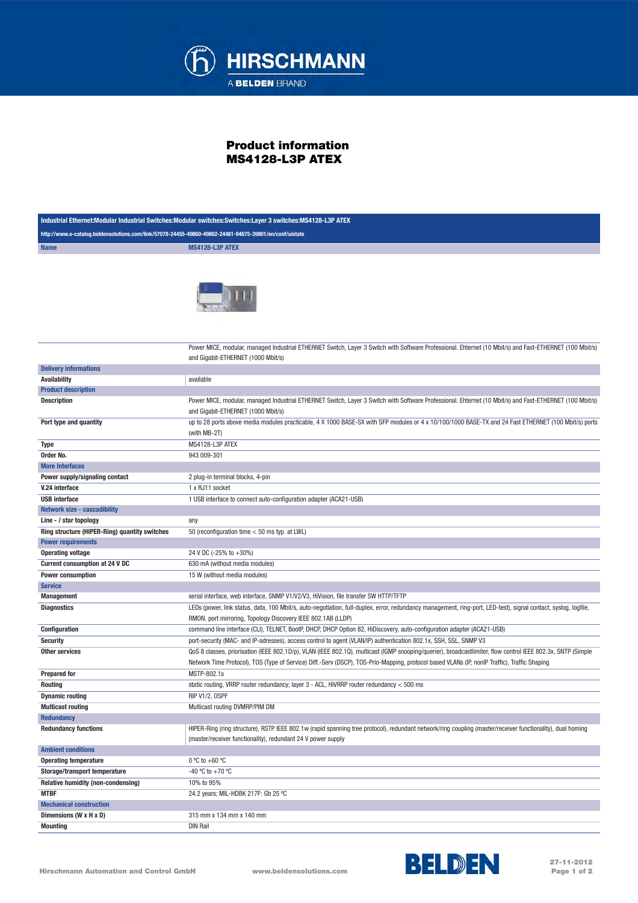

## Product information MS4128-L3P ATEX

| Industrial Ethernet:Modular Industrial Switches:Modular switches:Switches:Layer 3 switches:MS4128-L3P ATEX |                                                                                                                                                                                                                                 |  |
|------------------------------------------------------------------------------------------------------------|---------------------------------------------------------------------------------------------------------------------------------------------------------------------------------------------------------------------------------|--|
| http://www.e-catalog.beldensolutions.com/link/57078-24455-49860-49862-24481-94675-39801/en/conf/uistate    |                                                                                                                                                                                                                                 |  |
| <b>Name</b>                                                                                                | MS4128-L3P ATEX                                                                                                                                                                                                                 |  |
|                                                                                                            |                                                                                                                                                                                                                                 |  |
|                                                                                                            | Power MICE, modular, managed Industrial ETHERNET Switch, Layer 3 Switch with Software Professional. Ehternet (10 Mbit/s) and Fast-ETHERNET (100 Mbit/s)                                                                         |  |
| <b>Delivery informations</b>                                                                               | and Gigabit-ETHERNET (1000 Mbit/s)                                                                                                                                                                                              |  |
| <b>Availability</b>                                                                                        | available                                                                                                                                                                                                                       |  |
| <b>Product description</b>                                                                                 |                                                                                                                                                                                                                                 |  |
| <b>Description</b>                                                                                         | Power MICE, modular, managed Industrial ETHERNET Switch, Layer 3 Switch with Software Professional. Ehternet (10 Mbit/s) and Fast-ETHERNET (100 Mbit/s)                                                                         |  |
|                                                                                                            | and Gigabit-ETHERNET (1000 Mbit/s)                                                                                                                                                                                              |  |
| Port type and quantity                                                                                     | up to 28 ports above media modules practicable, 4 X 1000 BASE-SX with SFP modules or 4 x 10/100/1000 BASE-TX and 24 Fast ETHERNET (100 Mbit/s) ports<br>(with MB-2T)                                                            |  |
| Type                                                                                                       | MS4128-L3P ATEX                                                                                                                                                                                                                 |  |
| Order No.                                                                                                  | 943 009-301                                                                                                                                                                                                                     |  |
| <b>More Interfaces</b>                                                                                     |                                                                                                                                                                                                                                 |  |
| Power supply/signaling contact                                                                             | 2 plug-in terminal blocks, 4-pin                                                                                                                                                                                                |  |
| V.24 interface                                                                                             | 1 x RJ11 socket                                                                                                                                                                                                                 |  |
| <b>USB</b> interface                                                                                       | 1 USB interface to connect auto-configuration adapter (ACA21-USB)                                                                                                                                                               |  |
| <b>Network size - cascadibility</b>                                                                        |                                                                                                                                                                                                                                 |  |
| Line - / star topology                                                                                     | any                                                                                                                                                                                                                             |  |
| Ring structure (HIPER-Ring) quantity switches                                                              | 50 (reconfiguration time < 50 ms typ. at LWL)                                                                                                                                                                                   |  |
| <b>Power requirements</b>                                                                                  |                                                                                                                                                                                                                                 |  |
| <b>Operating voltage</b>                                                                                   | 24 V DC (-25% to +30%)                                                                                                                                                                                                          |  |
| <b>Current consumption at 24 V DC</b>                                                                      | 630 mA (without media modules)                                                                                                                                                                                                  |  |
| <b>Power consumption</b>                                                                                   | 15 W (without media modules)                                                                                                                                                                                                    |  |
| <b>Service</b>                                                                                             |                                                                                                                                                                                                                                 |  |
| <b>Management</b>                                                                                          | serial interface, web interface, SNMP V1/V2/V3, HiVision, file transfer SW HTTP/TFTP                                                                                                                                            |  |
| <b>Diagnostics</b>                                                                                         | LEDs (power, link status, data, 100 Mbit/s, auto-negotiation, full-duplex, error, redundancy management, ring-port, LED-test), signal contact, syslog, logfile,<br>RMON, port mirroring, Topology Discovery IEEE 802.1AB (LLDP) |  |
| Configuration                                                                                              | command line interface (CLI), TELNET, BootP, DHCP, DHCP Option 82, HiDiscovery, auto-configuration adapter (ACA21-USB)                                                                                                          |  |
| <b>Security</b>                                                                                            | port-security (MAC- and IP-adresses), access control to agent (VLAN/IP) authentication 802.1x, SSH, SSL, SNMP V3                                                                                                                |  |
| <b>Other services</b>                                                                                      | QoS 8 classes, priorisation (IEEE 802.1D/p), VLAN (IEEE 802.1Q), multicast (IGMP snooping/querier), broadcastlimiter, flow control IEEE 802.3x, SNTP (Simple                                                                    |  |
|                                                                                                            | Network Time Protocol), TOS (Type of Service) Diff.-Serv (DSCP), TOS-Prio-Mapping, protocol based VLANs (IP, nonlP Traffic), Traffic Shaping                                                                                    |  |
| <b>Prepared for</b>                                                                                        | MSTP-802.1s                                                                                                                                                                                                                     |  |
| <b>Routing</b>                                                                                             | static routing, VRRP router redundancy; layer 3 - ACL, HiVRRP router redundancy < 500 ms                                                                                                                                        |  |
| <b>Dynamic routing</b>                                                                                     | RIP V1/2, OSPF                                                                                                                                                                                                                  |  |
| <b>Multicast routing</b><br><b>Redundancy</b>                                                              | Multicast routing DVMRP/PIM DM                                                                                                                                                                                                  |  |
| <b>Redundancy functions</b>                                                                                | HIPER-Ring (ring structure), RSTP IEEE 802.1w (rapid spanning tree protocol), redundant network/ring coupling (master/receiver functionality), dual homing<br>(master/receiver functionality), redundant 24 V power supply      |  |
| <b>Ambient conditions</b>                                                                                  |                                                                                                                                                                                                                                 |  |
| <b>Operating temperature</b>                                                                               | 0 °C to +60 °C                                                                                                                                                                                                                  |  |
| Storage/transport temperature                                                                              | -40 °C to +70 °C                                                                                                                                                                                                                |  |
| Relative humidity (non-condensing)                                                                         | 10% to 95%                                                                                                                                                                                                                      |  |
| <b>MTBF</b>                                                                                                | 24.2 years; MIL-HDBK 217F: Gb 25 °C                                                                                                                                                                                             |  |
| <b>Mechanical construction</b>                                                                             |                                                                                                                                                                                                                                 |  |
| Dimensions (W x H x D)                                                                                     | 315 mm x 134 mm x 140 mm                                                                                                                                                                                                        |  |
| <b>Mounting</b>                                                                                            | <b>DIN Rail</b>                                                                                                                                                                                                                 |  |